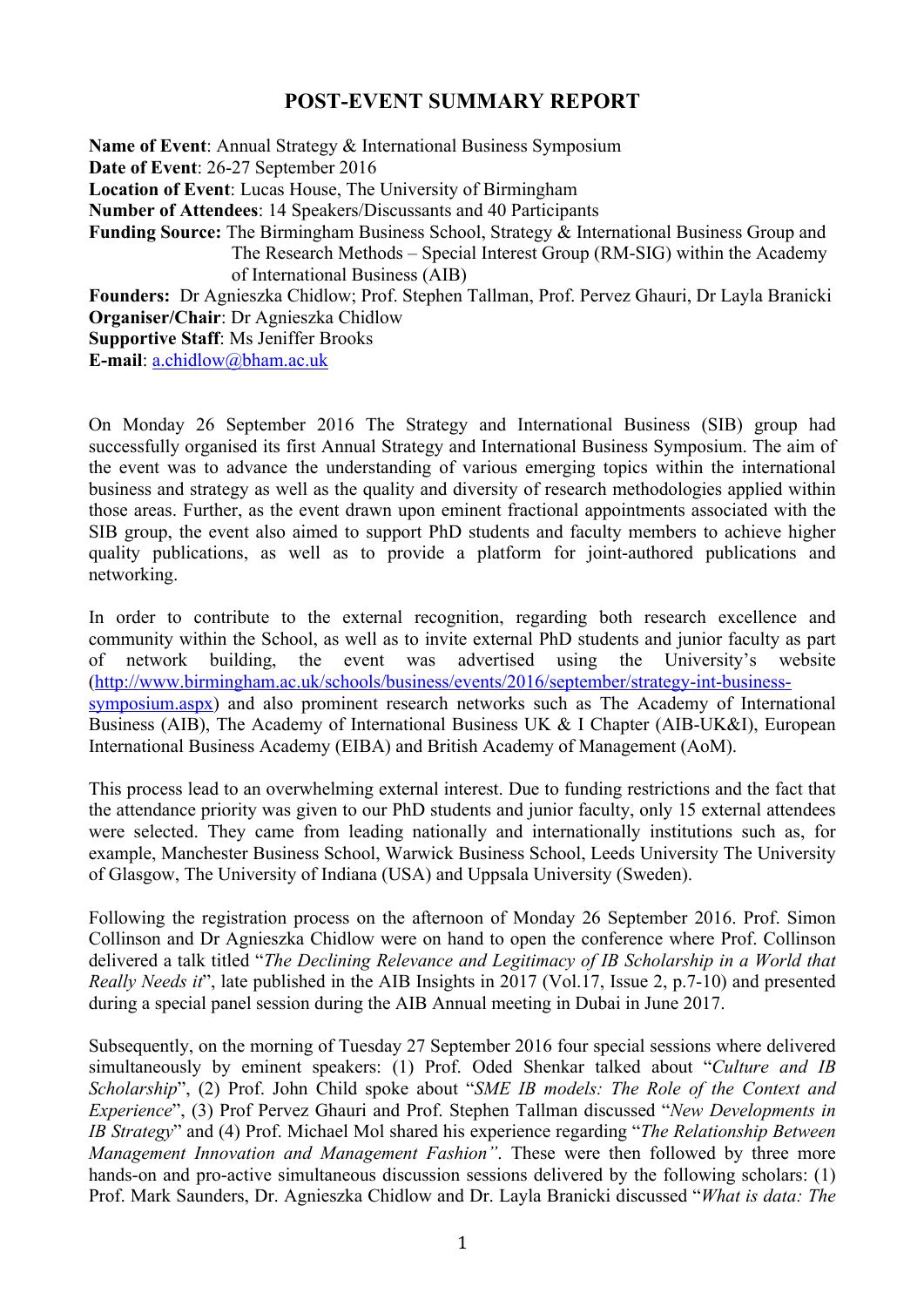## **POST-EVENT SUMMARY REPORT**

**Name of Event**: Annual Strategy & International Business Symposium **Date of Event**: 26-27 September 2016 **Location of Event**: Lucas House, The University of Birmingham **Number of Attendees**: 14 Speakers/Discussants and 40 Participants **Funding Source:** The Birmingham Business School, Strategy & International Business Group and The Research Methods – Special Interest Group (RM-SIG) within the Academy of International Business (AIB) **Founders:** Dr Agnieszka Chidlow; Prof. Stephen Tallman, Prof. Pervez Ghauri, Dr Layla Branicki **Organiser/Chair**: Dr Agnieszka Chidlow **Supportive Staff**: Ms Jeniffer Brooks

**E-mail**: a.chidlow@bham.ac.uk

On Monday 26 September 2016 The Strategy and International Business (SIB) group had successfully organised its first Annual Strategy and International Business Symposium. The aim of the event was to advance the understanding of various emerging topics within the international business and strategy as well as the quality and diversity of research methodologies applied within those areas. Further, as the event drawn upon eminent fractional appointments associated with the SIB group, the event also aimed to support PhD students and faculty members to achieve higher quality publications, as well as to provide a platform for joint-authored publications and networking.

In order to contribute to the external recognition, regarding both research excellence and community within the School, as well as to invite external PhD students and junior faculty as part of network building, the event was advertised using the University's website (http://www.birmingham.ac.uk/schools/business/events/2016/september/strategy-int-businesssymposium.aspx) and also prominent research networks such as The Academy of International Business (AIB), The Academy of International Business UK & I Chapter (AIB-UK&I), European International Business Academy (EIBA) and British Academy of Management (AoM).

This process lead to an overwhelming external interest. Due to funding restrictions and the fact that the attendance priority was given to our PhD students and junior faculty, only 15 external attendees were selected. They came from leading nationally and internationally institutions such as, for example, Manchester Business School, Warwick Business School, Leeds University The University of Glasgow, The University of Indiana (USA) and Uppsala University (Sweden).

Following the registration process on the afternoon of Monday 26 September 2016. Prof. Simon Collinson and Dr Agnieszka Chidlow were on hand to open the conference where Prof. Collinson delivered a talk titled "*The Declining Relevance and Legitimacy of IB Scholarship in a World that Really Needs it*", late published in the AIB Insights in 2017 (Vol.17, Issue 2, p.7-10) and presented during a special panel session during the AIB Annual meeting in Dubai in June 2017.

Subsequently, on the morning of Tuesday 27 September 2016 four special sessions where delivered simultaneously by eminent speakers: (1) Prof. Oded Shenkar talked about "*Culture and IB Scholarship*", (2) Prof. John Child spoke about "*SME IB models: The Role of the Context and Experience*", (3) Prof Pervez Ghauri and Prof. Stephen Tallman discussed "*New Developments in IB Strategy*" and (4) Prof. Michael Mol shared his experience regarding "*The Relationship Between Management Innovation and Management Fashion"*. These were then followed by three more hands-on and pro-active simultaneous discussion sessions delivered by the following scholars: (1) Prof. Mark Saunders, Dr. Agnieszka Chidlow and Dr. Layla Branicki discussed "*What is data: The*